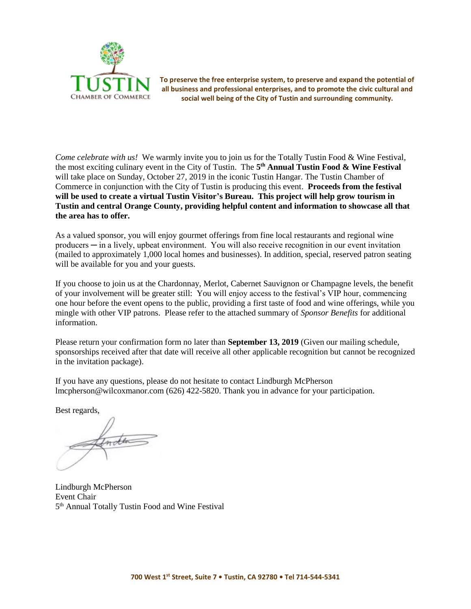

**To preserve the free enterprise system, to preserve and expand the potential of all business and professional enterprises, and to promote the civic cultural and social well being of the City of Tustin and surrounding community.**

*Come celebrate with us!* We warmly invite you to join us for the Totally Tustin Food & Wine Festival, the most exciting culinary event in the City of Tustin. The **5 th Annual Tustin Food & Wine Festival** will take place on Sunday, October 27, 2019 in the iconic Tustin Hangar. The Tustin Chamber of Commerce in conjunction with the City of Tustin is producing this event. **Proceeds from the festival will be used to create a virtual Tustin Visitor's Bureau. This project will help grow tourism in Tustin and central Orange County, providing helpful content and information to showcase all that the area has to offer.** 

As a valued sponsor, you will enjoy gourmet offerings from fine local restaurants and regional wine producers ─ in a lively, upbeat environment. You will also receive recognition in our event invitation (mailed to approximately 1,000 local homes and businesses). In addition, special, reserved patron seating will be available for you and your guests.

If you choose to join us at the Chardonnay, Merlot, Cabernet Sauvignon or Champagne levels, the benefit of your involvement will be greater still: You will enjoy access to the festival's VIP hour, commencing one hour before the event opens to the public, providing a first taste of food and wine offerings, while you mingle with other VIP patrons. Please refer to the attached summary of *Sponsor Benefits* for additional information.

Please return your confirmation form no later than **September 13, 2019** (Given our mailing schedule, sponsorships received after that date will receive all other applicable recognition but cannot be recognized in the invitation package).

If you have any questions, please do not hesitate to contact Lindburgh McPherson lmcpherson@wilcoxmanor.com (626) 422-5820. Thank you in advance for your participation.

Best regards,

Indla

Lindburgh McPherson Event Chair 5<sup>th</sup> Annual Totally Tustin Food and Wine Festival